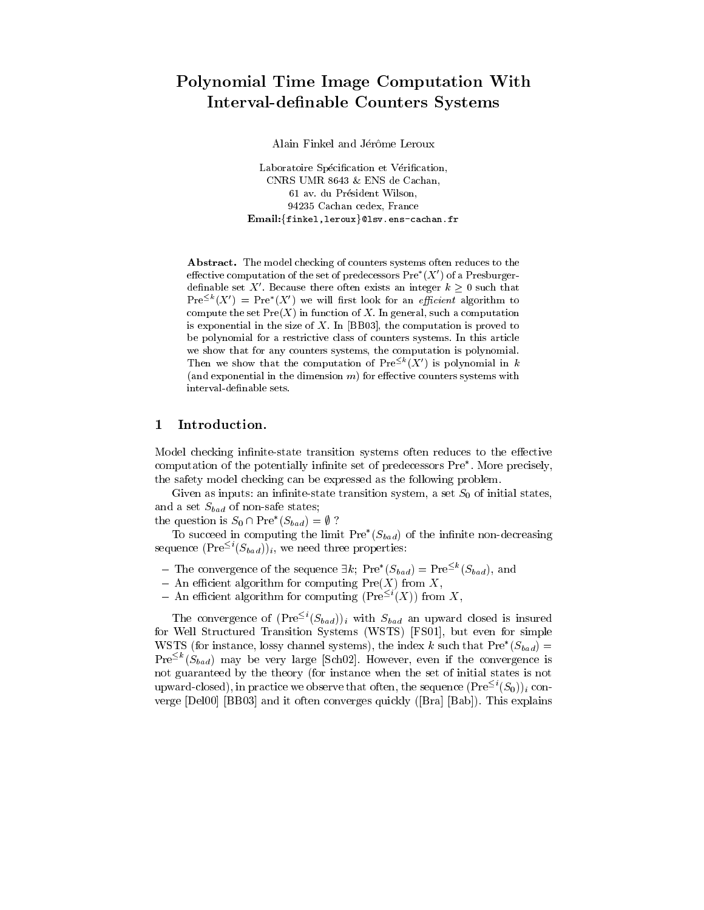# Polynomial Time Image Computation With Interval-denable Counters Systems

Alain Finkel and Jérôme Leroux

Laboratoire Spécification et Vérification, CNRS UMR 8643 & ENS de Cachan, 61 av. du President Wilson, 94235 Cachan cedex, France Email:{finkel,leroux}@lsv.ens-cachan.fr

Abstract. The model checking of counters systems often reduces to the effective computation of the set of predecessors Pre  $(X)$  of a Presburgerdefinable set X'. Because there often exists an integer  $k > 0$  such that Pre-  $(X)$  = Pre  $(X)$  we will first look for an *efficient* algorithm to compute the set  $Pre(X)$  in function of X. In general, such a computation is exponential in the size of  $X$ . In [BB03], the computation is proved to be polynomial for a restrictive class of counters systems. In this article we show that for any counters systems, the computation is polynomial. Then we show that the computation of Pre-  $(X \cup \text{is polynomial in } \kappa)$ (and exponential in the dimension  $m$ ) for effective counters systems with interval-denable sets.

#### $\mathbf 1$ Introduction.

Model checking infinite-state transition systems often reduces to the effective computation of the potentially infinite set of predecessors  $Pre^*$ . More precisely, the safety model checking can be expressed as the following problem.

Given a interpreted and interest transition system in  $\mathcal{G}_\mu$  is set  $\mathcal{G}_\mu$  of initial states, and in  $\mathcal{G}_\mu$ and a set  $\sim$   $\sim$   $m_{\rm H}$  of set states states;

the question is  $S_0 \cap \text{Pre}^*(S_{bad}) = \emptyset$ ?

To succeed in computing the limit  $Pre^*(S_{bad})$  of the infinite non-decreasing sequence  $(\operatorname{Pre}^{\leq i}(S_{bad}))_i,$  we need three properties:

- The convergence of the sequence  $\exists k$ ;  $Pre^*(S_{bad}) = Pre^{\leq k}(S_{bad})$ , and
- ${\bf x}$  and  ${\bf x}$  and  ${\bf x}$  from  ${\bf x}$  from  ${\bf x}$  from  ${\bf x}$   ${\bf x}$  from  ${\bf x}$   ${\bf x}$  from  ${\bf x}$   ${\bf x}$  from  ${\bf x}$   ${\bf x}$   ${\bf x}$   ${\bf x}$   ${\bf x}$   ${\bf x}$   ${\bf x}$   ${\bf x}$   ${\bf x}$   ${\bf x}$   ${\bf x}$   ${\bf x}$   ${\bf x}$   ${\bf x}$   ${\bf x}$
- ${\rm -}$  An efficient algorithm for computing (Pre<sup> $\leq i(X)$ </sup>) from X,

The convergence of  $(\text{Pre}^{\leq i}(S_{bad}))_i$  with  $S_{bad}$  an upward closed is insured for Well Structured Transition Systems (WSTS) [FS01], but even for simple WSTS (for instance, lossy channel systems), the index k such that  $Pre^*(S_{bad}) =$  $Pre^{\leq k}(S_{bad})$  may be very large [Sch02]. However, even if the convergence is not guaranteed by the theory (for instance when the set of initial states is not upward-closed), in practice we observe that often, the sequence  $({\rm Pre}^{\leq i}(S_0))_i$  converge [Del00] [BB03] and it often converges quickly ([Bra] [Bab]). This explains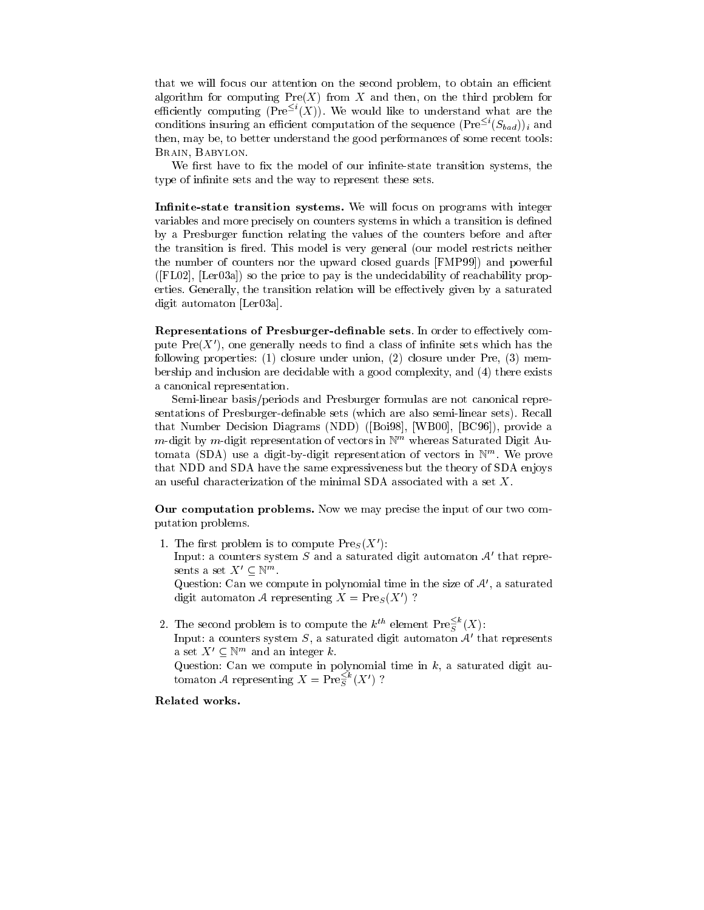that we will focus our attention on the second problem, to obtain an efficient algorithm for computing  $Pre(X)$  from X and then, on the third problem for efficiently computing  $(\text{Pre}^{\leq i}(X))$ . We would like to understand what are the conditions insuring an efficient computation of the sequence  $(\text{Pre}^{\leq i}(S_{bad}))_i$  and then, may be, to better understand the good performances of some recent tools: Brain, Babylon.

We first have to fix the model of our infinite-state transition systems, the type of infinite sets and the way to represent these sets.

adminited transition systems. We will focus the transition of the programs with integers. The complete the second variables and more precisely on counters systems in which a transition is defined by a Presburger function relating the values of the counters before and after the transition is fired. This model is very general (our model restricts neither the number of counters nor the upward closed guards [FMP99]) and powerful  $(FL02)$ , [Lerosa]) so the price to pay is the undecidability of reachability properties. Generally, the transition relation will be effectively given by a saturated digit automaton [Ler03a].

**Representations of Presburger-definable sets**. In order to effectively compute  $Pre(X')$ , one generally needs to find a class of infinite sets which has the following properties: (1) closure under union, (2) closure under Pre, (3) membership and inclusion are decidable with a good complexity, and (4) there exists a canonical representation.

Semi-linear basis/periods and Presburger formulas are not canonical representations of Presburger-definable sets (which are also semi-linear sets). Recall that Number Decision Diagrams (NDD) ([Boi98], [WB00], [BC96]), provide a  $m$ -digit by m-digit representation of vectors in  $\mathbb{N}^m$  whereas Saturated Digit Automata (SDA) use a digit-by-digit representation of vectors in <sup>N</sup><sup>m</sup> . We prove that NDD and SDA have the same expressiveness but the theory of SDA enjoys an useful characterization of the minimal SDA associated with a set X.

Our computation problems. Now we may precise the input of our two computation problems.

- 1. The first problem is to compute  $\text{Pre}_S(X')$ : Input: a counters system  $S$  and a saturated digit automaton  $A'$  that represents a set  $X' \subset \mathbb{N}^m$ . Question: Can we compute in polynomial time in the size of  $A'$ , a saturated digit automaton A representing  $X = \text{Pre}_S(X')$  ?
- 2. The second problem is to compute the  $k^{th}$  element  $\text{Pre}_{S}^{\leq k}(X)$ : Input: a counters system  $S$ , a saturated digit automaton  $A'$  that represents a set  $X' \subseteq \mathbb{N}^m$  and an integer k. Question: Can we compute in polynomial time in  $k$ , a saturated digit automaton A representing  $X = \text{Pre}_{\overline{S}}^{\leq k}(X')$  ?

 $-$ 

#### Related works.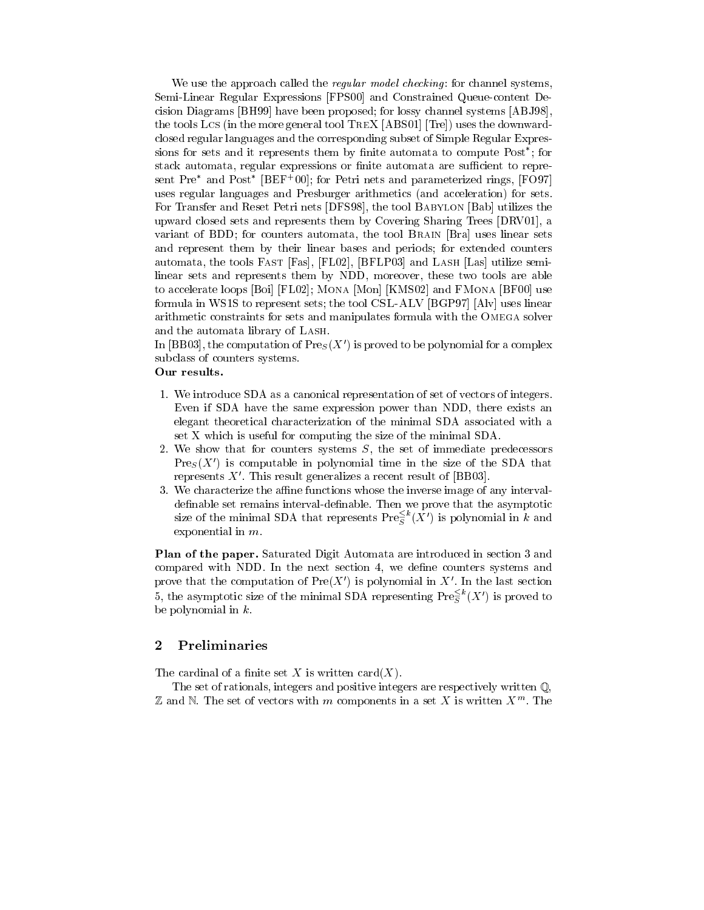We use the approach called the *regular model checking*: for channel systems, Semi-Linear Regular Expressions [FPS00] and Constrained Queue-content Decision Diagrams [BH99] have been proposed; for lossy channel systems [ABJ98], the tools Lcs (in the more general tool TREX [ABS01] [Tre]) uses the downwardclosed regular languages and the corresponding subset of Simple Regular Expressions for sets and it represents them by finite automata to compute  $Post^*$ ; for stack automata, regular expressions or finite automata are sufficient to represent  $Pre^*$  and  $Post^*$   $[BEF^+00]$ ; for Petri nets and parameterized rings,  $[FO97]$ uses regular languages and Presburger arithmetics (and acceleration) for sets. For Transfer and Reset Petri nets [DFS98], the tool BABYLON [Bab] utilizes the upward closed sets and represents them by Covering Sharing Trees [DRV01], a variant of BDD; for counters automata, the tool BRAIN [Bra] uses linear sets and represent them by their linear bases and periods; for extended counters automata, the tools Fast [Fas], [FL02], [BFLP03] and Lash [Las] utilize semilinear sets and represents them by NDD, moreover, these two tools are able to accelerate loops [Boi] [FL02]; Mona [Mon] [KMS02] and FMona [BF00] use formula in WS1S to represent sets; the tool CSL-ALV [BGP97] [Alv] uses linear arithmetic constraints for sets and manipulates formula with the Omega solver and the automata library of Lash.

In [BB03], the computation of  ${\rm Pre}_S(X')$  is proved to be polynomial for a complex subclass of counters systems.

- 1. We introduce SDA as a canonical representation of set of vectors of integers. Even if SDA have the same expression power than NDD, there exists an elegant theoretical characterization of the minimal SDA associated with a set X which is useful for computing the size of the minimal SDA.
- 2. We show that for counters systems S, the set of immediate predecessors  $\n *Pres*(X')\n is computable in polynomial time in the size of the SDA that\n$ represents  $X'$ . This result generalizes a recent result of [BB03].
- 3. We characterize the affine functions whose the inverse image of any intervaldefinable set remains interval-definable. Then we prove that the asymptotic size of the minimal SDA that represents  $\operatorname{Pre}_{S}^{\le k}(X')$  is polynomial in  $k$  and exponential in m.

 $\bf I$  ran of the paper. Saturated Digit Automata are introduced in section 3 and compared with NDD. In the next section 4, we define counters systems and prove that the computation of  $Pre(X')$  is polynomial in X'. In the last section 5, the asymptotic size of the minimal SDA representing  $\text{Pre}_{S}^{\leq k}(X')$  is proved to be polynomial in  $k$ .

#### 2 Preliminaries

The cardinal of a finite set X is written card $(X)$ .

The set of rationals, integers and positive integers are respectively written Q,  $\mathbb Z$  and  $\mathbb N$ . The set of vectors with  $m$  components in a set  $X$  is written  $X^{m}$ . The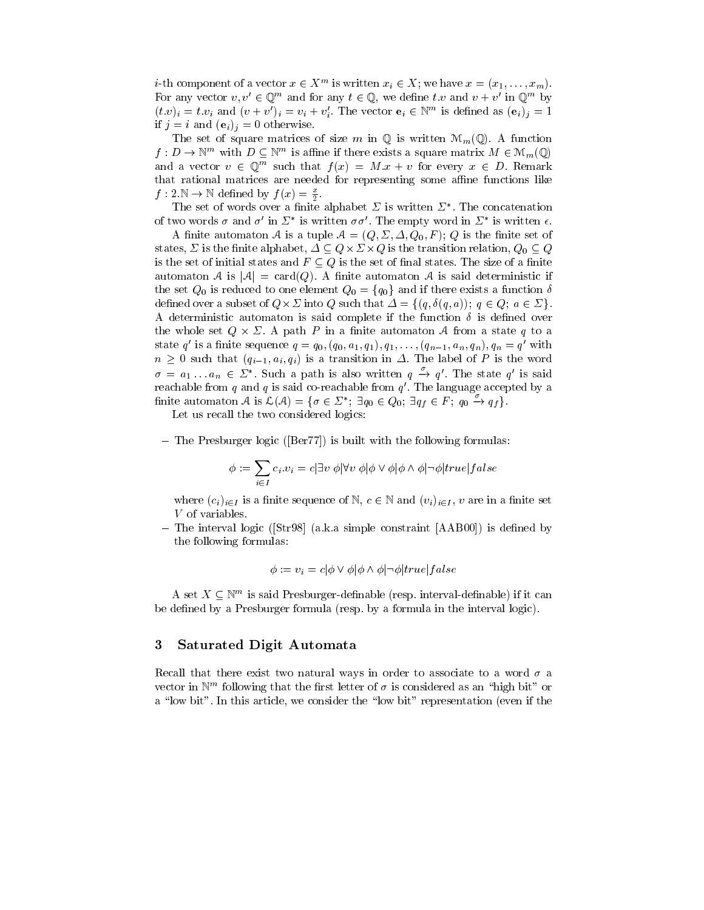*i*-th component of a vector  $x \in A$  is written  $x_i \in A$ ; we have  $x = (x_1, \ldots, x_m)$ . For any vector  $v, v' \in \mathbb{Q}^m$  and for any  $t \in \mathbb{Q}$ , we define t.v and  $v + v'$  in  $\mathbb{Q}^m$  by  $(t.v)_i = t.v_i$  and  $(v + v')_i = v_i + v'_i$ . The vector  $\mathbf{e}_i \in \mathbb{N}^m$  is defined as  $(\mathbf{e}_i)_j = 1$ if <sup>j</sup> = <sup>i</sup> and (ei)j = 0 otherwise.

The set of square matrices of size m in  $\mathbb Q$  is written  $\mathcal M_m(\mathbb Q)$ . A function  $f: D \to \mathbb{N}^m$  with  $D \subseteq \mathbb{N}^m$  is annie if there exists a square matrix  $M \in \mathcal{M}_m(\mathbb{Q})$ and a vector  $v \in \mathbb{U}^m$  such that  $f(x) = M \cdot x + v$  for every  $x \in D$ . Remark that rational matrices are needed for representing some affine functions like  $f: Z \mathbb{N} \to \mathbb{N}$  defined by  $f(x) = \frac{1}{2}$ .

The set of words over a finite alphabet  $\Sigma$  is written  $\Sigma^*$ . The concatenation of two words  $\sigma$  and  $\sigma'$  in  $\Sigma^*$  is written  $\sigma\sigma'$ . The empty word in  $\Sigma^*$  is written  $\epsilon$ .

A finite automaton A is a tuple  $A = (Q, \Sigma, \Delta, Q_0, F); Q$  is the finite set of states,  $\vartriangle$  is the finite alphabet,  $\vartriangle \subseteq Q \times \vartriangle \times Q$  is the transition relation,  $Q_0 \subseteq Q$ is the set of initial states and  $F \subseteq Q$  is the set of final states. The size of a finite automaton A is  $|A| = \text{card}(Q)$ . A finite automaton A is said deterministic if the set  $Q_0$  is reduced to one element  $Q_0 = \{q_0\}$  and if there exists a function  $\theta$ defined over a subset of Q- $\times$  2 mito Q-such that  $\Delta = \{(q, o(q, a))\colon q \in Q; a \in \mathbb{Z}\}$ . A deterministic automaton is said complete if the function  $\delta$  is defined over the whole set  $Q \times \mathbb{Z}$ . A path P in a finite automaton A from a state  $q$  to a state q' is a finite sequence  $q = q_0, (q_0, a_1, q_1), q_1, \ldots, (q_{n-1}, a_n, q_n), q_n = q'$  with  $n > 0$  such that  $(q_{i-1}, a_i, q_i)$  is a transition in  $\Delta$ . The label of P is the word  $\sigma = a_1 \dots a_n \in \Sigma^*$ . Such a path is also written  $q \stackrel{\circ}{\rightarrow} q'$ . The state  $q'$  is said reachable from q and q is said co-reachable from  $q'$ . The language accepted by a finite automaton A is  $\mathcal{L}(\mathcal{A}) = \{ \sigma \in \Sigma^*; \ \exists q_0 \in Q_0; \ \exists q_f \in F; q_0 \xrightarrow{\sim} q_f \}.$ 

Let us recall the two considered logics:

 ${\bf T}$  respecting to  ${\bf T}$  ,  ${\bf T}$  and  ${\bf T}$  is built with the following formulas:

$$
\phi := \sum_{i \in I} c_i \cdot v_i = c | \exists v \; \phi | \forall v \; \phi | \phi \vee \phi | \phi \wedge \phi | \neg \phi | true | false
$$

where  $(c_i)_{i\in I}$  is a finite sequence of N,  $c \in \mathbb{N}$  and  $(v_i)_{i\in I}$ , v are in a finite set

 $\mathcal{I}$  and interval logic ([Str98] (a.k.a simple constraint  $\mathcal{I}$ ]) is defined by  $\mathcal{I}$ the following formulas:

$$
\phi := v_i = c | \phi \vee \phi | \phi \wedge \phi | \neg \phi | true | false
$$

A set  $\Lambda\subseteq\mathbb{N}^m$  is said Presburger-definable (resp. interval-definable) if it can be defined by a Presburger formula (resp. by a formula in the interval logic).

### 3 Saturated Digit Automata

Recall that there exist two natural ways in order to associate to a word  $\sigma$  a vector in  $\mathbb{N}^m$  following that the first letter of  $\sigma$  is considered as an  $\mathop{\rm ngn}\nolimits$  bit  $\mathop{\rm oir}\nolimits$ a "low bit". In this article, we consider the "low bit" representation (even if the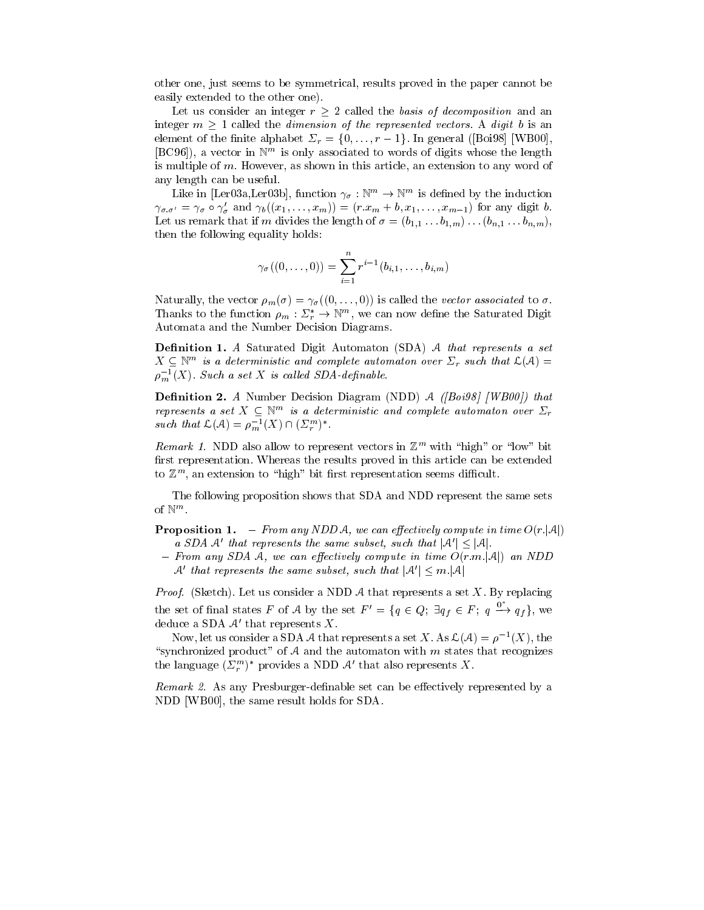other one, just seems to be symmetrical, results proved in the paper cannot be easily extended to the other one). easily extended to the other one).

Let us consider an integer  $r > 2$  called the basis of decomposition and an integer  $m \geq 1$  called the *dimension of the represented vectors*. A *digit b* is an element of the nuite alphabet  $\mathcal{Z}_r = \{0,\ldots,r-1\}$ . In general ([Boi98] [WB00], [BC96]), a vector in <sup>N</sup><sup>m</sup> is only associated to words of digits whose the length is multiple of m. However, as shown in this article, an extension to any word of any length can be useful.

Like in [Lero3a,Lero3b], function  $\gamma_\sigma : \mathbb{N}^+ \to \mathbb{N}^+$  is defined by the induction  $\gamma_{\sigma,\sigma'} = \gamma_{\sigma} \circ \gamma_{\sigma}'$  and  $\gamma_b((x_1,\ldots,x_m)) = (r.x_m+b,x_1,\ldots,x_{m-1})$  for any digit b.  $\mathbf{L}$  is remark that if m divides the length of  $\mathbf{v} = \{v_{1,1}, \ldots, v_{h,1}, \ldots, v_{h,m}\}$ then the following equality holds:

$$
\gamma_{\sigma}((0,\ldots,0)) = \sum_{i=1}^{n} r^{i-1}(b_{i,1},\ldots,b_{i,m})
$$

Naturally, the vector  $\rho_m(\sigma) = \gamma_\sigma((0,\ldots,0))$  is called the *vector associated* to  $\sigma$ . Thanks to the function  $\rho_m : \varSigma_r^* \to \mathbb{N}^m,$  we can now define the Saturated Digit Automata and the Number Decision Diagrams.

 $D$ enintion 1. A saturated  $D$ igh Automaton (SDA) A *that represents a set*  $X \subseteq \mathbb{N}^m$  is a deterministic and complete automaton over  $\varSigma_r$  such that  $\varphi(\mathcal{A}) = \emptyset$  $\rho_m^{-1}(X)$ . Such a set X is called SDA-definable.

 $\cdots$ 

Denition 2. <sup>A</sup> Number Decision Diagram (NDD) A ([Boi98] [WB00]) that represents a set  $X \subseteq \mathbb{N}^m$  is a deterministic and complete automaton over  $\mathbb{Z}_r$ such that  $\mathcal{L}(\mathcal{A}) = \rho_m^{-1}(X) \cap (\Sigma_r^m)^*$ .

Remark 1. NDD also allow to represent vectors in  $\mathbb{Z}^m$  with "high" or "low" bit first representation. Whereas the results proved in this article can be extended to  $\mathbb{Z}^m$ , an extension to  $\hbox{ nign}$  bit inst representation seems dimedit.

The following proposition shows that SDA and NDD represent the same sets  $\mathbf{O}$   $\mathbf{I}$   $\mathbb{N}^m$  .

**Proposition 1.**  $=$  **From any NDD**  $A$ , we can effectively compute in time  $O(T, |A|)$ a SDA A' that represents the same subset, such that  $|\mathcal{A}'| \leq |\mathcal{A}|$ .

 $=$  rom any SDA A, we can effectively compute in time  $O(r.m.|\mathcal{A}|)$  an NDD

a SDA A' that represents the same subset, such that  $|A'| \leq |A|$ .<br>From any SDA A, we can effectively compute in time  $O(r.m.|A|A')$  that represents the same subset, such that  $|A'| \leq m.|A|$ 

*Proof.* (Sketch). Let us consider a NDD  $\mathcal A$  that represents a set  $X$ . By replacing the set of final states F of A by the set  $F' = \{q \in Q; \exists q_f \in F; q \stackrel{\sigma}{\longrightarrow} q_f\}$ , we deduce a SDA  $\mathcal{A}'$  that represents X.

Now, let us consider a SDA A that represents a set X . As  $\mathcal{L}(\mathcal{A}) = \rho^{-1}(X)$ , the "synchronized product" of  $A$  and the automaton with m states that recognizes the language  $(\varSigma_{r}^{m})^{*}$  provides a NDD  $\mathcal{A}'$  that also represents  $X.$ 

Remark 2. As any Presburger-definable set can be effectively represented by a NDD [WB00], the same result holds for SDA.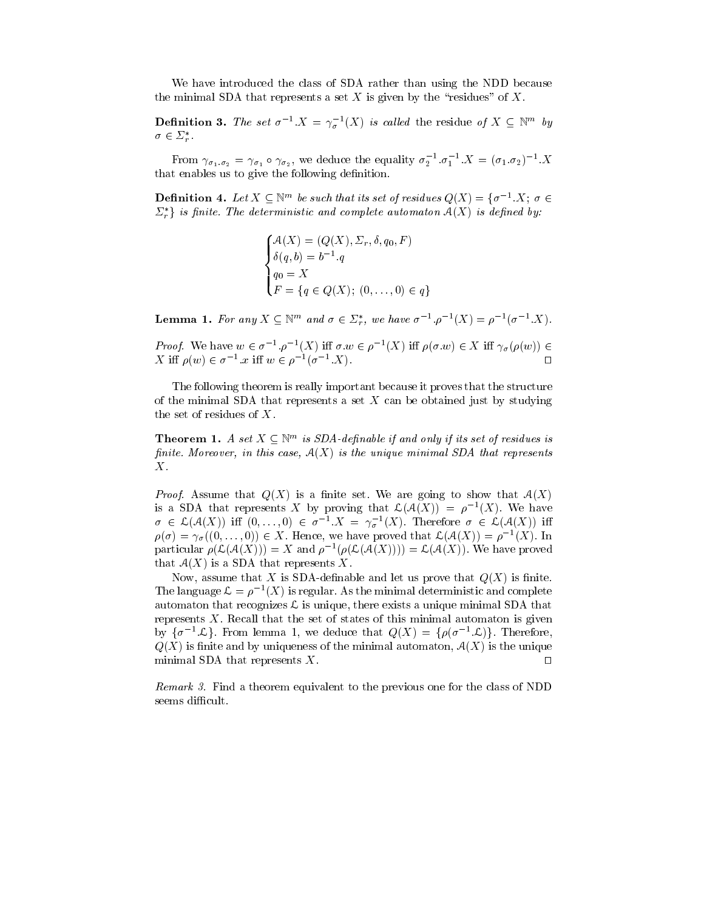We have introduced the class of SDA rather than using the NDD because the minimal SDA that represents a set X is given by the "residues" of X.

**Definition 3.** The set  $\sigma^{-1}$ .  $X = \gamma_{\sigma}^{-1}(X)$  is called the residue of  $X \subseteq \mathbb{N}^m$  by  $\sigma \in \Sigma^*$ .

From  $\gamma_{\sigma_1,\sigma_2} = \gamma_{\sigma_1} \circ \gamma_{\sigma_2}$ , we deduce the equality  $\sigma_2^{-1} \cdot \sigma_1^{-1} \cdot X = (\sigma_1 \cdot \sigma_2)^{-1} \cdot X$ that enables us to give the following definition

**Definition 4.** Let  $X \subseteq \mathbb{N}^m$  be such that its set of residues  $Q(X) = \{\sigma^{-1}.X; \sigma \in$  $\Sigma_r^*$  is finite. The deterministic and complete automaton  $A(X)$  is defined by:

r

$$
\begin{cases}\n\mathcal{A}(X) = (Q(X), \Sigma_r, \delta, q_0, F) \\
\delta(q, b) = b^{-1} \cdot q \\
q_0 = X \\
F = \{q \in Q(X); (0, \dots, 0) \in q\}\n\end{cases}
$$

**Lemma 1.** For any  $X \subseteq \mathbb{N}^m$  and  $\sigma \in \Sigma_r^*$ , we have  $\sigma^{-1} \cdot \rho^{-1}(X) = \rho^{-1}(\sigma^{-1} \cdot X)$ .

*Proof.* We have  $w \in \sigma^{-1} \cdot \rho^{-1}(X)$  iff  $\sigma w \in \rho^{-1}(X)$  iff  $\rho(\sigma w) \in X$  iff  $\gamma_{\sigma}(\rho(w)) \in Y$ X if  $\rho(w) \in \sigma^{-1}$  x iff  $w \in \rho^{-1}(\sigma^{-1} X)$  $\Delta$ ).  $\Box$ 

The following theorem is really important because it proves that the structure of the minimal SDA that represents a set  $X$  can be obtained just by studying the set of residues of X.

**Theorem 1.** A set  $\Lambda \subseteq \mathbb{N}^m$  is SDA-definable if and only if its set of restaues is finite. Moreover, in this case,  $A(X)$  is the unique minimal SDA that represents  $X$ .

*Proof.* Assume that  $Q(X)$  is a finite set. We are going to show that  $A(X)$ is a SDA that represents X by proving that  $\mathcal{L}(\mathcal{A}(X)) = \rho^{-1}(X)$ . We have  $\sigma \in \mathcal{L}(\mathcal{A}(X))$  iff  $(0,\ldots,0) \in \sigma^{-1}X = \gamma_{\sigma}^{-1}(X)$ . Therefore  $\sigma \in \mathcal{L}(\mathcal{A}(X))$  iff  $\rho(\sigma) = \gamma_{\sigma}(0,\ldots,0) \in X$ . Hence, we have proved that  $\mathcal{L}(\mathcal{A}(X)) = \rho^{-1}(X)$ . In particular  $\rho(\mathcal{L}(\mathcal{A}(X))) = X$  and  $\rho^{-1}(\rho(\mathcal{L}(\mathcal{A}(X)))) = \mathcal{L}(\mathcal{A}(X))$ . We have proved that  $A(X)$  is a SDA that represents X.

Now, assume that X is SDA-definable and let us prove that  $Q(X)$  is finite. The language  $\mathcal{L} = \rho^{-1}(X)$  is regular. As the minimal deterministic and complete automaton that recognizes  $\mathcal L$  is unique, there exists a unique minimal SDA that represents  $X$ . Recall that the set of states of this minimal automaton is given by  $\{\sigma^{-1} \downarrow \}$ . From lemma 1, we deduce that  $Q(X) = \{\rho(\sigma^{-1} \downarrow)\}\$ . Therefore,  $Q(X)$  is finite and by uniqueness of the minimal automaton,  $A(X)$  is the unique minimal SDA that represents  $X$ .

Remark 3. Find a theorem equivalent to the previous one for the class of NDD seems difficult.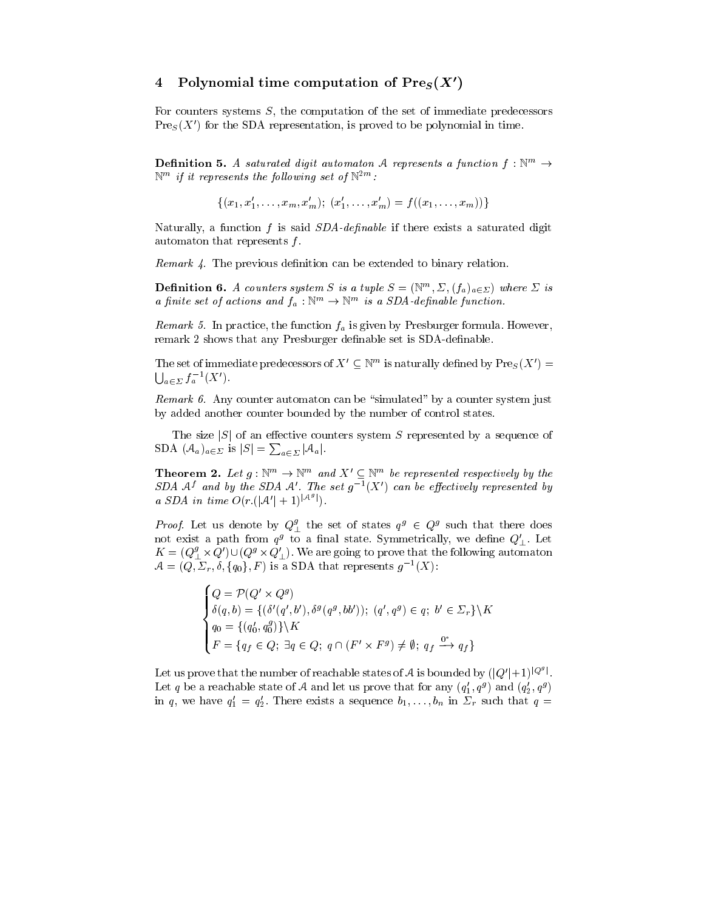## 4 Polynomial time computation of  $\text{Pre}_S(X')$

For counters systems S, the computation of the set of immediate predecessors  $\text{Pre}_S(X')$  for the SDA representation, is proved to be polynomial in time.

**Definition 5.** A saturated digit automaton A represents a function  $f: \mathbb{N}^m \to$  $\mathbb{N}^m$  if it represents the following set of  $\mathbb{N}^{2m}$ :

$$
\{(x_1,x'_1,\ldots,x_m,x'_m);~(x'_1,\ldots,x'_m)=f((x_1,\ldots,x_m))\}
$$

Naturally, a function  $f$  is said  $SDA$ -definable if there exists a saturated digit automaton that represents  $f$ .

*Remark 4.* The previous definition can be extended to binary relation.

**Definition 6.** A counters system 5 is a tuple  $S = (\mathbb{N}^m, \mathcal{Z}, \mathcal{Y}_a)_{a \in \mathcal{Z}}$  where  $\mathcal{Z}$  is a pinue set of actions and  $J_a: \mathbb{N}^m \to \mathbb{N}^m$  is a SDA-depinable function.

Remark 5. In practice, the function fa is given by Presburger formula. However, remark 2 shows that any Presburger definable set is SDA-definable.

The set of immediate predecessors of  $X' \subseteq \mathbb{N}^m$  is naturally defined by  $\text{Pre}_S(X') =$  $\bigcup_{a\in\mathcal{L}}f_a^{-1}(X').$ 

*Remark 6.* Any counter automaton can be "simulated" by a counter system just by added another counter bounded by the number of control states.

The size  $|S|$  of an effective counters system S represented by a sequence of SDA  $(A_a)_{a\in \Sigma}$  is  $|S| = \sum_{a\in \Sigma} |A_a|$ .

**Theorem 2.** Let  $g: \mathbb{N}^m \to \mathbb{N}^m$  and  $X' \subseteq \mathbb{N}^m$  be represented respectively by the SDA  $A^f$  and by the SDA  $A'$ . The set  $g^{-1}(X')$  can be effectively represented by a SDA in time  $O(r.(|\mathcal{A}^{\prime}|+1)|^{|{\mathcal{A}}^g|}).$ 

*Proof.* Let us denote by  $Q_1^s$  the set of states  $q^g \in Q_2^g$  such that there does not exist a path from  $q^g$  to a final state. Symmetrically, we define  $Q'_{\perp}$ . Let  $K = (Q^g_{\perp} \times Q') \cup (Q^g \times Q'_{\perp})$ . We are going to prove that the following automaton  $\mathcal{A} = (Q, \Sigma_r, \delta, \{q_0\}, F)$  is a SDA that represents  $q^{-1}(X)$ :

$$
\begin{cases}\nQ = \mathcal{P}(Q' \times Q^g) \\
\delta(q, b) = \{ (\delta'(q', b'), \delta^g(q^g, bb')), (q', q^g) \in q; b' \in \Sigma_r \} \backslash K \\
q_0 = \{ (q'_0, q''_0) \} \backslash K \\
F = \{ q_f \in Q; \exists q \in Q; q \cap (F' \times F^g) \neq \emptyset; q_f \xrightarrow{\mathbf{0}^*} q_f \}\n\end{cases}
$$

Let us prove that the number of reachable states of A is bounded by  $(|Q'|+1)^{|Q^g|}$ . Let q be a reachable state of A and let us prove that for any  $(q'_1, q^g)$  and  $(q'_2, q^g)$ in q, we have  $q'_1 = q'_2$ . There exists a sequence  $b_1, \ldots, b_n$  in  $\Sigma_r$  such that  $q =$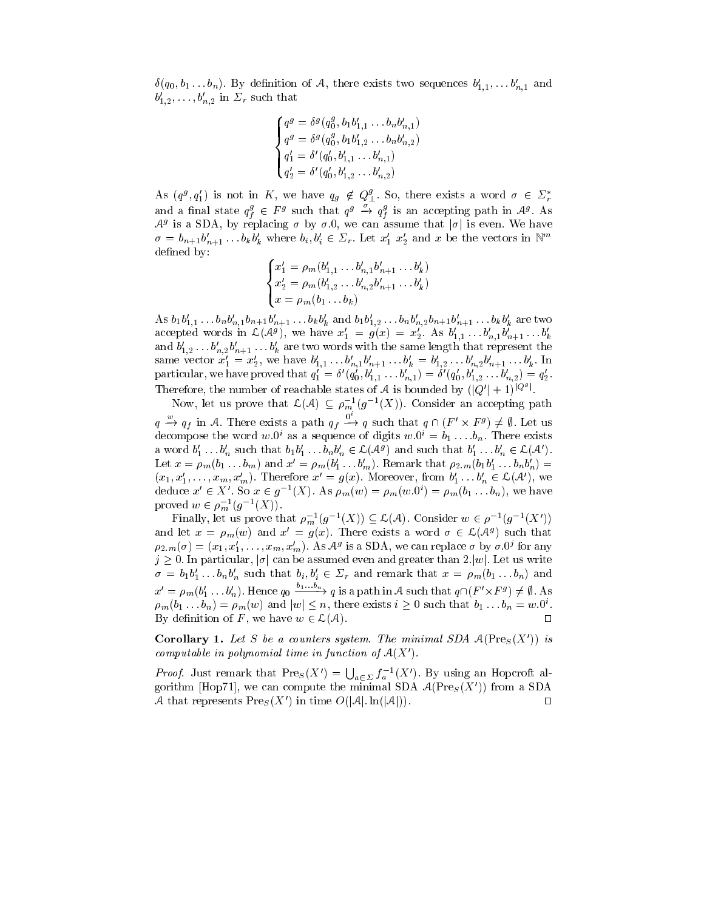$\delta(q_0, b_1 \ldots b_n)$ . By definition of A, there exists two sequences  $b'_{1,1}, \ldots b'_{n,1}$  and  $b'_{1,2},\ldots,b'_{n,2}$  in  $\Sigma_r$  such that

$$
\begin{cases}\nq^{g} = \delta^{g}(q_{0}^{g}, b_{1}b'_{1,1} \ldots b_{n}b'_{n,1}) \\
q^{g} = \delta^{g}(q_{0}^{g}, b_{1}b'_{1,2} \ldots b_{n}b'_{n,2}) \\
q'_{1} = \delta'(q'_{0}, b'_{1,1} \ldots b'_{n,1}) \\
q'_{2} = \delta'(q'_{0}, b'_{1,2} \ldots b'_{n,2})\n\end{cases}
$$

As  $(q^g, q'_1)$  is not in K, we have  $q_g \notin Q^g_{\perp}$ . So, there exists a word  $\sigma \in \Sigma_r^*$ and a final state  $q_f^y \in F^g$  such that  $q^g \rightarrow q_f^s$  is an accepting path in  $\mathcal{A}^g$ . As  $A^g$  is a SDA, by replacing  $\sigma$  by  $\sigma$ .0, we can assume that  $|\sigma|$  is even. We have  $\sigma = b_{n+1}b'_{n+1} \ldots b_k b'_k$  where  $b_i, b'_i \in \Sigma_r$ . Let  $x'_1$   $x'_2$  and x be the vectors in  $\mathbb{N}^m$ defined by:

$$
\begin{cases}\nx'_1 = \rho_m(b'_{1,1} \dots b'_{n,1} b'_{n+1} \dots b'_k) \\
x'_2 = \rho_m(b'_{1,2} \dots b'_{n,2} b'_{n+1} \dots b'_k) \\
x = \rho_m(b_1 \dots b_k)\n\end{cases}
$$

As  $b_1b'_{1,1} \ldots b_nb'_{n,1}b_{n+1}b'_{n+1} \ldots b_kb'_k$  and  $b_1b'_{1,2} \ldots b_nb'_{n,2}b_{n+1}b'_{n+1} \ldots b_kb'_k$  are two accepted words in  $\mathcal{L}(\mathcal{A}^g)$ , we have  $x_1' = g(x) = x_2'$ . As  $b_{1,1}' \dots b_{n,1}' b_{n+1}' \dots b_k'$ and  $b'_{1,2} \ldots b'_{n,2} b'_{n+1} \ldots b'_{k}$  are two words with the same length that represent the same vector  $x_1' = x_2'$ , we have  $b'_{1,1} \ldots b'_{n,1} b'_{n+1} \ldots b'_{k} = b'_{1,2} \ldots b'_{n,2} b'_{n+1} \ldots b'_{k}$ . In particular, we have proved that  $q'_1 = \delta'(q'_0, b'_{1,1} \ldots b'_{n,1}) = \delta'(q'_0, b'_{1,2} \ldots b'_{n,2}) = q'_2$ . Therefore, the number of reachable states of A is bounded by  $(|Q'|+1)^{|Q^g|}$ .

Now, let us prove that  $\mathcal{L}(\mathcal{A}) \subseteq \rho_m^{-1}(g^{-1}(X))$ . Consider an accepting path  $q \stackrel{w}{\rightarrow} q_f$  in A. There exists a path  $q_f \stackrel{0}{\rightarrow} q$  such that  $q \cap (F' \times F^g) \neq \emptyset$ . Let us decompose the word w.0 as a sequence of digits  $w_0v_1 = v_1 \ldots v_n$ . There exists a word  $b'_1 \dots b'_n$  such that  $b_1b'_1 \dots b_nb'_n \in \mathcal{L}(\mathcal{A}^g)$  and such that  $b'_1 \dots b'_n \in \mathcal{L}(\mathcal{A}')$ . Let  $x = \rho_m (b_1 \ldots b_m)$  and  $x' = \rho_m (b'_1 \ldots b'_m)$ . Remark that  $\rho_{2,m} (b_1 b'_1 \ldots b_n b'_n) =$  $(x_1, x'_1, \ldots, x_m, x'_m)$ . Therefore  $x' = g(x)$ . Moreover, from  $b'_1 \ldots b'_n \in \mathcal{L}(\mathcal{A}')$ , we deduce  $x' \in X'$ . So  $x \in g^{-1}(X)$ . As  $\rho_m(w) = \rho_m(w, 0^i) = \rho_m(b_1 \dots b_n)$ , we have proved  $w \in \rho_m^{-1}(g^{-1}(X)).$ 

Finally, let us prove that  $\rho_m^{-1}(g^{-1}(X)) \subseteq \mathcal{L}(\mathcal{A})$ . Consider  $w \in \rho^{-1}(g^{-1}(X'))$ and let  $x = \rho_m(w)$  and  $x' = g(x)$ . There exists a word  $\sigma \in \mathcal{L}(\mathcal{A}^g)$  such that  $\rho_{2,m}(\sigma)=(x_1,x_1',\ldots,x_m,x_m').$  As  $\mathcal{A}^g$  is a SDA, we can replace  $\sigma$  by  $\sigma.0^j$  for any  $j \geq 0.$  In particular,  $|\sigma|$  can be assumed even and greater than 2.  $|w|$ . Let us write  $\sigma = b_1b'_1 \dots b_nb'_n$  such that  $b_i, b'_i \in \Sigma_r$  and remark that  $x = \rho_m(b_1 \dots b_n)$  and  $x' = \rho_m(b'_1 \dots b'_n)$ . Hence  $q_0 \frac{b_1 \dots b_n}{a_n} q$  is a path in A such that  $q \cap (F' \times F^g) \neq \emptyset$ . As  $\rho_m(b_1 \ldots b_n) = \rho_m(w)$  and  $|w| \leq n$ , there exists  $i \geq 0$  such that  $b_1 \ldots b_n = w \cdot 0^i$ .  $i_1b_1 \tcdots b_nb_n$  such that  $b_i, b_i \tcdots b_n$  and remark that  $x = \rho_m(b_1 \tcdots b_n)$  and  $m(b_1' \tcdots b_n')$ . Hence  $q_0 \xrightarrow{b_1 \tcdots b_n} q$  is a path in A such that  $q \cap (F' \times F^g) \neq \emptyset$ . As  $\dots b_n = p_m(w)$  and  $|w| \leq n$ , there exists  $i > 0$  suc By definition of F, we have  $w \in \mathcal{L}(\mathcal{A})$ .

**Corollary 1.** Let S be a counters system. The minimal SDA  $\mathcal{A}(\text{Pre}_S(X'))$  is computable in polynomial time in function of  $A(X')$ .

*Proof.* Just remark that  $\text{Pre}_S(X') = \bigcup_{a \in \Sigma} f_a^{-1}(X')$ . By using an Hopcroft algorithm [Hop71], we can compute the minimal SDA  $\mathcal{A}(\text{Pre}_S(X'))$  from a SDA A that represents  $\text{Pre}_S(X')$  in time  $O(|A|, \ln(|A|)).$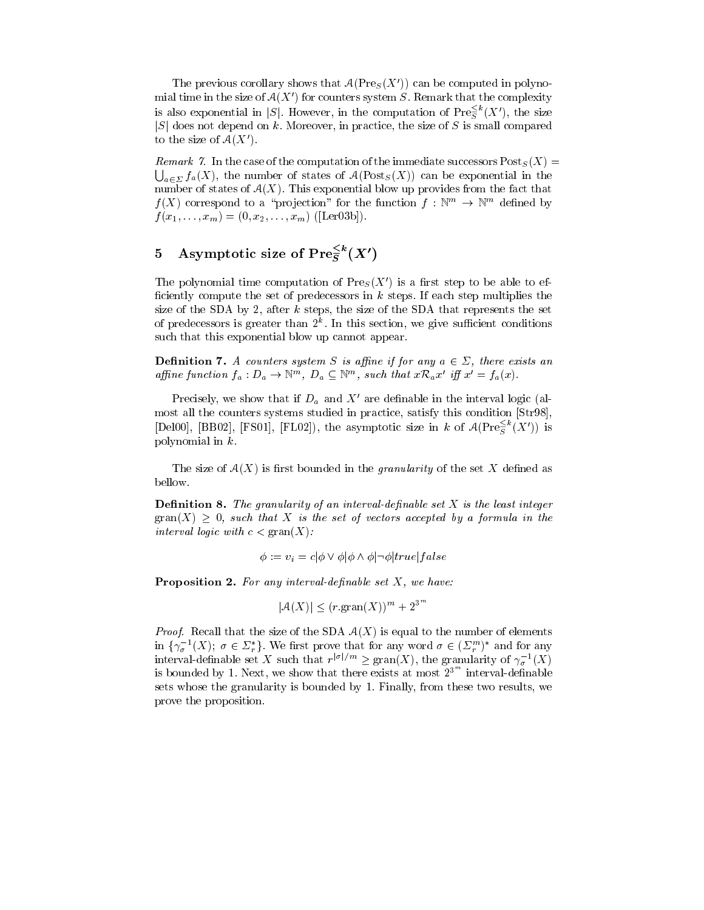The previous corollary shows that  $\mathcal{A}(\text{Pre}_S(X'))$  can be computed in polynomial time in the size of  $A(X')$  for counters system S. Remark that the complexity is also exponential in |S|. However, in the computation of  $\text{Pre}_{S}^{\leq k}(X'),$  the size  $|S|$  does not depend on k. Moreover, in practice, the size of S is small compared to the size of  $\mathcal{A}(X')$ .

Remark 7. In the case of the computation of the immediate successors PostS (X) (X)  $\chi$  (X)  $\chi$  (X)  $\chi$  $\bigcup_{a\in\Sigma} f_a(X)$ , the number of states of  $\mathcal{A}(\text{Post}_S(X))$  can be exponential in the number of states of  $A(X)$ . This exponential blow up provides from the fact that  $f(X)$  correspond to a projection for the function  $f : \mathbb{N}^n \to \mathbb{N}^m$  defined by  $f(x_1;\ldots;x_m) = (0,x_2;\ldots,x_m)$  ([Let 03b]).

# 5 Asymptotic size of  $\text{Pre}_{\widetilde S}^-(X')$

The polynomial time computation of  $\text{Pre}_S(X')$  is a first step to be able to efficiently compute the set of predecessors in  $k$  steps. If each step multiplies the size of the SDA by 2, after  $k$  steps, the size of the SDA that represents the set of predecessors is greater than  $2^\circ$ . In this section, we give sumclent conditions such that this exponential blow up cannot appear.

**Definition 7.** A counters system  $S$  is affine if for any  $a \in \mathcal{Z}$ , there exists an affine function  $f_a: D_a \to \mathbb{N}^m$ ,  $D_a \subseteq \mathbb{N}^m$ , such that  $x \mathcal{R}_a x'$  iff  $x' = f_a(x)$ .

Precisely, we show that if  $D_a$  and  $X'$  are definable in the interval logic (almost all the counters systems studied in practice, satisfy this condition [Str98], [Del00], [BB02], [FS01], [FL02]), the asymptotic size in k of  $\mathcal{A}(\text{Pre}_{S}^{\leq k}(X'))$  is polynomial in k.

The size of  $A(X)$  is first bounded in the *granularity* of the set X defined as bellow.

**Demittion 6.** The granularity of an interval-definable set  $\Lambda$  is the least integer  $\text{span}(X) > 0$ , such that X is the set of vectors accepted by a formula in the interval logic with  $c < \text{gram}(X)$ :

$$
\phi := v_i = c | \phi \vee \phi | \phi \wedge \phi | \neg \phi | true | false
$$

**1 TOPOSITION 2.** For any interval-definable set  $\Lambda$ , we have: *j* interval-definable set X, we have:<br> $|A(X)| < (r.\text{gram}(X))^m + 2^{3^m}$ 

$$
|\mathcal{A}(X)| \le (r \cdot \operatorname{gram}(X))^m + 2^{3^n}
$$

*Proof.* Recall that the size of the SDA  $A(X)$  is equal to the number of elements in  $\{\gamma_{\sigma}^{-1}(X);\ \sigma\in\mathbb{Z}_{r}^{*}\}\.$  We first prove that for any word  $\sigma\in(\mathbb{Z}_{r}^{m})^{*}$  and for any interval-definable set X such that  $r^{|\sigma|/m} \geq \text{gran}(X)$ , the granularity of  $\gamma_{\sigma}^{-1}(X)$ is bounded by 1. Next, we show that there exists at most  $2^{3^{m}}$  interval-definable sets whose the granularity is bounded by 1. Finally, from these two results, we prove the proposition.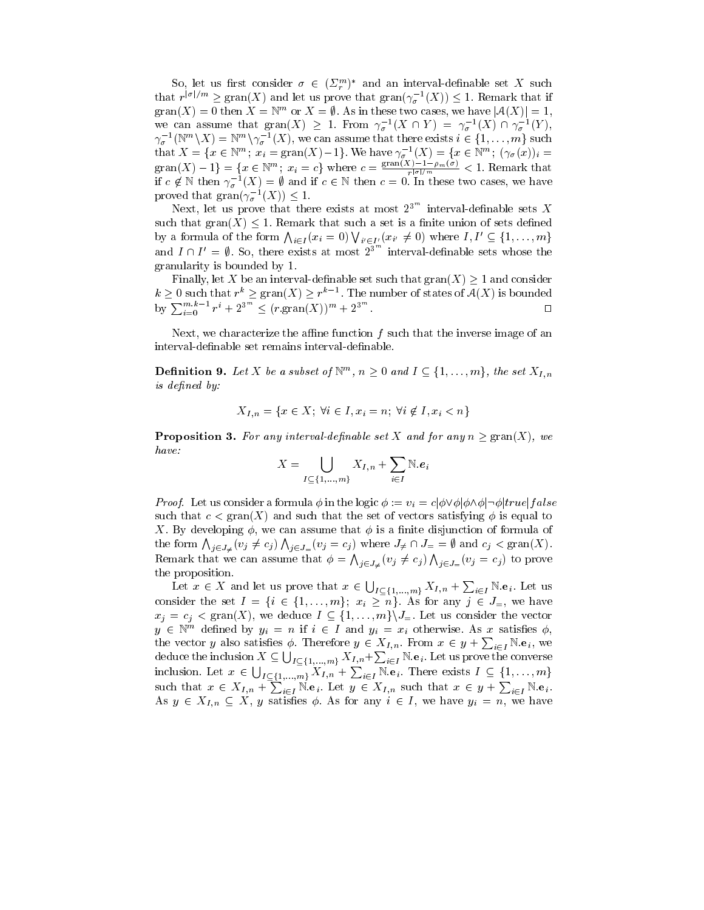So, let us first consider  $\sigma \in (\Sigma_r^m)^*$  and an interval-definable set X such that  $r^{|\sigma|/m} \geq \text{gran}(X)$  and let us prove that  $\text{gran}(\gamma_{\sigma}^{-1}(X)) \leq 1$ . Remark that if gran( $\Lambda$ ) = 0 then  $\Lambda$  =  $\mathbb{N}^m$  or  $\Lambda = \emptyset$ . As in these two cases, we have  $|\mathcal{A}(\Lambda)| = 1$ , we can assume that  $\text{gran}(X) \geq 1$ . From  $\gamma_{\sigma}^{-1}(X \cap Y) = \gamma_{\sigma}^{-1}(X) \cap \gamma_{\sigma}^{-1}(Y)$ , gran(X) = 0 then  $X = \mathbb{N}^m$  or  $X = \emptyset$ . As in these two cases, we have  $|\mathcal{A}(X)| = 1$ , we can assume that gran(X)  $\geq 1$ . From  $\gamma_{\sigma}^{-1}(X \cap Y) = \gamma_{\sigma}^{-1}(X) \cap \gamma_{\sigma}^{-1}(Y)$ ,  $\gamma_{\sigma}^{-1}(\mathbb{N}^m \setminus X) = \mathbb{N}^m \setminus \gamma_{\sigma}^{-1}(X)$ , that  $X = \{x \in \mathbb{N}^m : x_i = \text{gran}(X) - 1\}$ . We have  $\gamma_\sigma^{-1}(X) = \{x \in \mathbb{N}^m : (\gamma_\sigma(x))_i =$ gran(X) - 1} = { $x \in \mathbb{N}^m$ ;  $x_i = c$ } where  $c = \frac{\text{span}(X) - 1 - \text{span}(U)}{r^{|\sigma|/m}} < 1$ . Remark that if  $c \notin \mathbb{N}$  then  $\gamma_{\sigma}^{-1}(X) = \emptyset$  and if  $c \in \mathbb{N}$  then  $c = 0$ . In these two cases, we have proved that  $\text{gran}(\gamma_{\sigma}^{-1}(X)) \leq 1$ .

Next, let us prove that there exists at most  $2^{3^m}$  interval-definable sets X such that  $\operatorname{gran}(X) \leq 1$ . Remark that such a set is a finite union of sets defined Next, let us prove that there exists at most  $2^{3^{m}}$  interval-definable sets X such that gran(X)  $\leq$  1. Remark that such a set is a finite union of sets defined by a formula of the form  $\bigwedge_{i \in I} (x_i = 0) \bigvee_{i' \in I'} (x_{$ and  $I \cap I' = \emptyset$ . So, there exists at most  $2^{3^m}$  interval-definable sets whose the granularity is bounded by 1.

Finally, let X be an interval-definable set such that  $\operatorname{gran}(X) \geq 1$  and consider  $k \geq 0$  such that  $r^* \geq \text{gran}(X) \geq r^{k-1}$ . The number of states of  $\mathcal{A}(X)$  is bounded<br>by  $\sum_{i=0}^{m.k-1} r^i + 2^{3^m} \leq (r.\text{gran}(X))^m + 2^{3^m}$ .

Next, we characterize the affine function  $f$  such that the inverse image of an interval-definable set remains interval-definable. interval-definable set remains interval-definable.<br> **Definition 9.** Let X be a subset of  $\mathbb{N}^m$ ,  $n > 0$  and  $I \subset \{1, ..., m\}$ , the set  $X_{I,n}$ 

is defined by:

$$
X_{I,n} = \{ x \in X; \ \forall i \in I, x_i = n; \ \forall i \notin I, x_i < n \}
$$

**Proposition 3.** For any interval-definable set  $\Lambda$  and for any  $n > \text{gram}(\Lambda)$ , we have:

$$
X = \bigcup_{I \subseteq \{1, \dots, m\}} X_{I, n} + \sum_{i \in I} \mathbb{N} \cdot e_i
$$

*Proof.* Let us consider a formula  $\varphi$  in the logic  $\varphi := v_i = c|\varphi \vee \varphi|\varphi \wedge \varphi| \neg \varphi| \iota r \iota e| \jmath \iota a s e$ such that  $c < \text{gran}(X)$  and such that the set of vectors satisfying  $\phi$  is equal to X. By developing  $\phi$ , we can assume that  $\phi$  is a finite disjunction of formula of the form  $\bigwedge_{j\in J_{\neq}} (v_j \neq c_j) \bigwedge_{j\in J_{=}} (v_j = c_j)$  where  $J_{\neq} \cap J_{=} = \emptyset$  and  $c_j < \text{gran}(X)$ . Remark that we can assume that  $\phi = \bigwedge_{j \in J_{\neq}} (v_j \neq c_j) \bigwedge_{j \in J_{=}} (v_j = c_j)$  to prove the proposition.

Let  $x \in X$  and let us prove that  $x \in \bigcup_{I \subseteq \{1,\ldots,m\}} X_{I,n} + \sum_{i \in I} \mathbb{N} \mathbf{e}_i$ . Let us sider the set  $I = \{i \in \{1,\ldots,m\}; x_i \geq n\}$ . As for any  $j \in J_{=}$ , we have  $= c_i < \text{gran}(X)$ , we deduce  $I \subset \{1,\ldots,m\} \setminus J_{=}$ . Let us cons consider the set  $I = \{i \in \{1,\ldots,m\} : x_i \geq n\}$ . As for any  $j \in J_{=1}$ , we have  $x_j = c_j < \text{gran}(X)$ , we deduce  $I \subseteq \{1, ..., m\}\backslash J_{=}$ . Let us consider the vector  $y \in \mathbb{N}^m$  defined by  $y_i = n$  if  $i \in I$  and  $y_i = x_i$  otherwise. As x satisfies  $\varphi$ , the vector y also satisfies  $\phi$ . Therefore  $y \in X_{I,n}$ . From  $x \in y + \sum_{i \in I} \mathbb{N} \mathbf{e}_i$ , we deduce the inclusion  $X\subseteq \bigcup_{I\subseteq \{1,...,m\}} X_{I,n} + \sum_{i\in I}\mathbb{N}.$   $\mathbf{e}_i.$  Let us prove the converse inclusion. Let  $x \in \bigcup_{I \subseteq \{1,\ldots,m\}} X_{I,n} + \sum_{i \in I} \mathbb{N} \cdot \mathbf{e}_i$ . There exists  $I \subseteq \{1,\ldots,m\}$ such that  $x \in X_{I,n} + \sum_{i \in I} \mathbb{N} \cdot \mathbf{e}_i$ . Let  $y \in X_{I,n}$  such that  $x \in y + \sum_{i \in I} \mathbb{N} \cdot \mathbf{e}_i$ . As  $y \in A_{I,n} \subseteq A$ , y satisfies  $\varphi$ . As for any  $i \in I$ , we have  $y_i = n$ , we have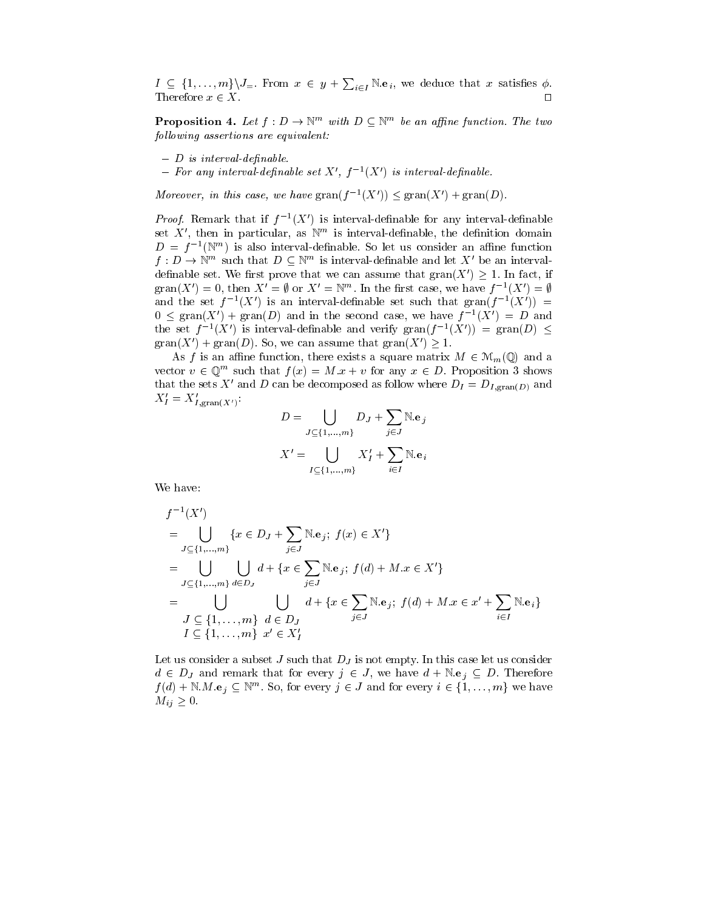$I \subseteq \{1,\ldots,m\}\backslash J_{=}$ . From  $x \in y + \sum_{i \in I} \mathbb{N} e_i$ , we deduce that x satisfies  $\phi$ . Therefore  $x \in X$ .

**Proposition 4.** Let  $f: D \to \mathbb{N}$  with  $D \subseteq \mathbb{N}$  be an affine function. The two  $following$  assertions are equivalent:

- $\equiv$  and denote the magnetic density of  $\equiv$
- $-$  For any interval-definable set X',  $f^{-1}(X')$  is interval-definable.

Moreover, in this case, we have  $\operatorname{gran}(f^{-1}(X')) \leq \operatorname{gran}(X') + \operatorname{gran}(D)$ .

*Proof.* Remark that if  $f^{-1}(X')$  is interval-definable for any interval-definable set X', then in particular, as  $\mathbb{N}^m$  is interval-definable, the definition domain  $D = f^{-1}(\mathbb{N}^m)$  is also interval-definable. So let us consider an affine function  $f: D \to \mathbb{N}^m$  such that  $D \subset \mathbb{N}^m$  is interval-definable and let X' be an intervaldefinable set. We first prove that we can assume that  $\text{gran}(X') \geq 1$ . In fact, if gran(X') = 0, then  $X' = \emptyset$  or  $X' = \mathbb{N}^m$ . In the first case, we have  $f^{-1}(X') = \emptyset$ and the set  $f^{-1}(X')$  is an interval-definable set such that  $\text{tran}(f^{-1}(X')) =$  $0 \leq \text{gram}(X') + \text{gran}(D)$  and in the second case, we have  $f^{-1}(X') = D$  and the set  $f^{-1}(X')$  is interval-definable and verify  $\text{tran}(f^{-1}(X')) = \text{tran}(D)$  $\text{gram}(X') + \text{gram}(D)$ . So, we can assume that  $\text{gram}(X') > 1$ .

As f is an affine function, there exists a square matrix  $M \in \mathcal{M}_m(\mathbb{Q})$  and a vector  $v \in \mathbb{Q}^m$  such that  $f(x) = M \cdot x + v$  for any  $x \in D$ . Proposition 3 shows that the sets X' and D can be decomposed as follow where  $D_I = D_{I,graph}(D)$  and  $X'_I = X'_{I, \text{gran}(X')}$ :

$$
D = \bigcup_{J \subseteq \{1, ..., m\}} D_J + \sum_{j \in J} \mathbb{N} \cdot \mathbf{e}_j
$$

$$
X' = \bigcup_{I \subseteq \{1, ..., m\}} X'_I + \sum_{i \in I} \mathbb{N} \cdot \mathbf{e}_i
$$

We have:

$$
f^{-1}(X')
$$
  
=  $\bigcup_{J \subseteq \{1,...,m\}} \{x \in D_J + \sum_{j \in J} \mathbb{N} \cdot \mathbf{e}_j; f(x) \in X'\}$   
=  $\bigcup_{J \subseteq \{1,...,m\}} \bigcup_{d \in D_J} d + \{x \in \sum_{j \in J} \mathbb{N} \cdot \mathbf{e}_j; f(d) + M \cdot x \in X'\}$   
=  $\bigcup_{J \subseteq \{1,...,m\}} \bigcup_{d \in D_J} d + \{x \in \sum_{j \in J} \mathbb{N} \cdot \mathbf{e}_j; f(d) + M \cdot x \in x' + \sum_{i \in I} \mathbb{N} \cdot \mathbf{e}_i\}$   
 $I \subseteq \{1,...,m\} \ x' \in X'_I$ 

Let us consider a subset  $\varphi$  such that  $\varphi$  is not empty. In this case let us case let us consider  $a \in D_J$  and remark that for every  $j \in J,$  we have  $a + \mathbb{N} \cdot \mathbf{e}_j \subseteq D$ . Therefore  $f(a) + \mathbb{N} \cdot M \cdot e_j \subseteq \mathbb{N}^m$ . 50, for ever set *J* such that  $D_J$  is not empty. In this case let us consider<br>that for every  $j \in J$ , we have  $d + \mathbb{N} \cdot \mathbf{e}_j \subseteq D$ . Therefore<br>. So, for every  $j \in J$  and for every  $i \in \{1, ..., m\}$  we have  $M_{ij} > 0.$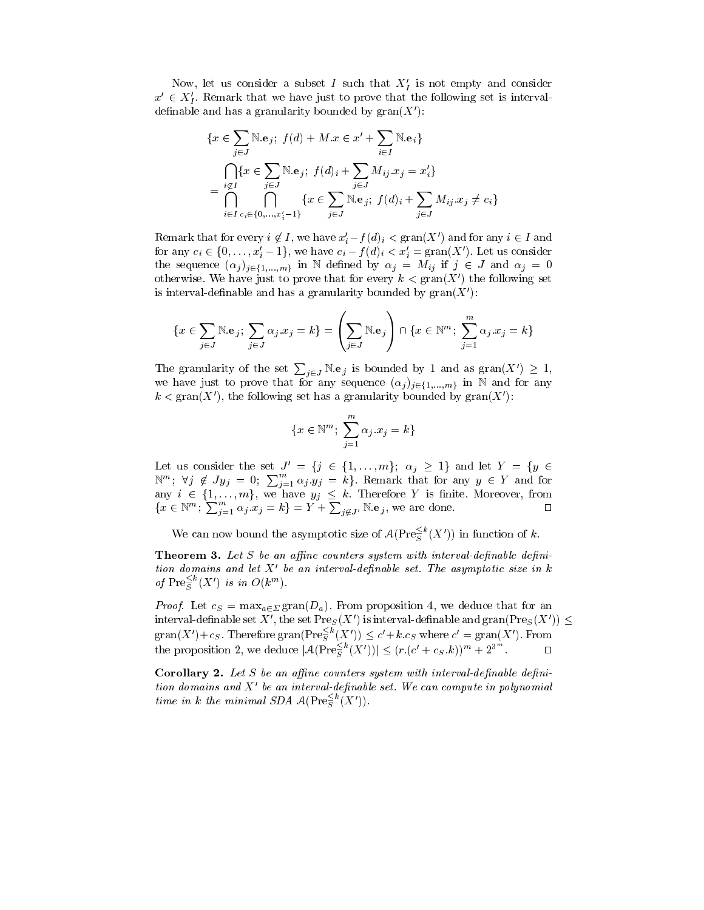Now, let us consider a subset I such that  $X_I$  is not empty and consider  $x' \in X_I'$ . Remark that we have just to prove that the following set is intervaldefinable and has a granularity bounded by  $\operatorname{gran}(X')$ :

$$
\{x \in \sum_{j \in J} \mathbb{N}.\mathbf{e}_j; \ f(d) + M.x \in x' + \sum_{i \in I} \mathbb{N}.\mathbf{e}_i\}
$$
  
= 
$$
\bigcap_{i \notin I} \{x \in \sum_{j \in J} \mathbb{N}.\mathbf{e}_j; \ f(d)_i + \sum_{j \in J} M_{ij}.x_j = x'_i\}
$$
  
= 
$$
\bigcap_{i \in I} \bigcap_{c_i \in \{0, ..., x'_i - 1\}} \{x \in \sum_{j \in J} \mathbb{N}.\mathbf{e}_j; \ f(d)_i + \sum_{j \in J} M_{ij}.x_j \neq c_i\}
$$

Remark that for every  $i \notin I$ , we have  $x'_i - f(d)_i < \text{gran}(X')$  and for any  $i \in I$  and for any  $c_i \in \{0, \ldots, x_i'-1\}$ , we have  $c_i - f(d)_i < x_i' = \text{gran}(X')$ . Let us consider nat for every  $i \notin I$ <br> $\in \{0,\ldots,x_i'-1\},\$ the sequence  $(\alpha_j)_{j\in\{1,...,m\}}$  in N defined by  $\alpha_j = M_{ij}$  if  $j \in J$  and  $\alpha_j = 0$ otherwise. We have just to prove that for every  $k < \text{gran}(X')$  the following set is interval-definable and has a granularity bounded by  $\operatorname{gran}(X')$ :

$$
\{x \in \sum_{j \in J} \mathbb{N} \mathbf{e}_j; \sum_{j \in J} \alpha_j x_j = k\} = \left(\sum_{j \in J} \mathbb{N} \mathbf{e}_j\right) \cap \{x \in \mathbb{N}^m; \sum_{j=1}^m \alpha_j x_j = k\}
$$

The granularity of the set  $\sum_{j\in J} \mathbb{N} \mathbf{e}_j$  is bounded by 1 and as  $\text{gran}(X') \geq 1$ , we have just to prove that for any sequence  $(\alpha_j)_{j\in\{1,...,m\}}$  in N and for any  $k < \text{gram}(X')$ , the following set has a granularity bounded by  $\text{gran}(X')$ :

$$
\{x\in\mathbb{N}^m\,;\ \sum_{j=1}^m\alpha_j.x_j=k\}
$$

Let us consider the set  $J' = \{j \in \{1,\ldots,m\}; \alpha_j > 1\}$  and let  $Y = \{y \in$  $\mathbb{N}^m$ ;  $\forall j \notin Jy_j = 0$ ;  $\sum_{j=1}^{\infty} \alpha_j y_j = k$ . Remark that for any  $y \in Y$  and for any  $i \in \{1, \ldots, m\}$ , we have  $y_j \leq \kappa$ . Therefore Y is finite. Moreover, from  $\{x \in \mathbb{N}^m\colon \sum_{j=1}^m \alpha_j .x_j = k\} = Y + \sum_{j \notin J'} \mathbb{N} \cdot \mathbf{e}_j$ , we are done.

We can now bound the asymptotic size of  $\mathcal{A}(\operatorname{Pre}_{\overline{S}}^{\le k}(X'))$  in function of k.

**Theorem 5.** Let S be an applie counters system with interval-depindence aepintion domains and let  $X'$  be an interval-definable set. The asymptotic size in k of  $\operatorname{Pre}_{S}^{\leq k}(X')$  is in  $O(k^m)$ .

Froof. Let  $cS = \max_{a \in \Sigma} g_1 \sin(D_a)$ . From proposition 4, we deduce that for an interval-definable set  $X'$ , the set  $\operatorname{Pre}_S(X')$  is interval-definable and  $\operatorname{gran}(\operatorname{Pre}_S(X')) <$  $\mathrm{gram}(X') + c_S$ . Therefore  $\mathrm{gran}(\mathrm{Pre}_{S}^{\le k}(X')) \le c' + k.c_S$  where  $c' = \mathrm{gran}(X')$ . From interval-definable set X', the set  $\text{Pre}_S(X')$  is interval-definable and  $\text{gran}(\text{Pre}_S(X')) \leq \text{gran}(X') + c_S$ . Therefore  $\text{gran}(\text{Pre}_S^{<}(X')) \leq c' + k.c_S$  where  $c' = \text{gran}(X')$ . From the proposition 2, we deduce  $|A(\text{Pre}_S^{<}(X'))| \leq (r.(c' + c$ 

 $\sim$  corollary 2. Let  $\beta$  be an affine counters system with interval-definition definition domains and  $X<sup>'</sup>$  be an interval-definable set. We can compute in polynomial time in k the minimal SDA  $\mathcal{A}(Pre_{S}^{\leq k}(X'))$ .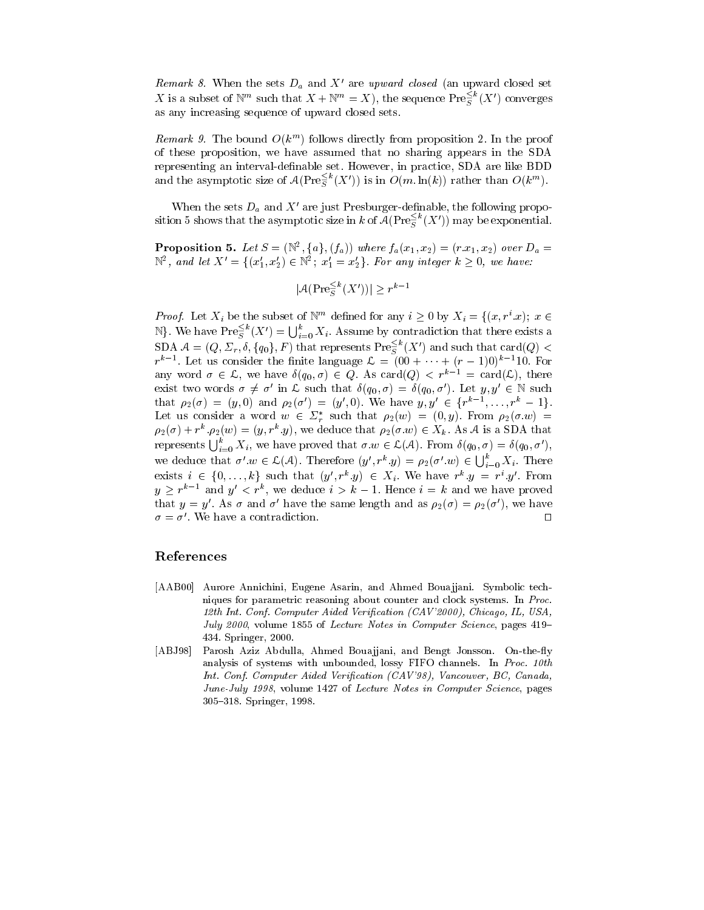*Remark 8.* When the sets  $D_a$  and X' are upward closed (an upward closed set X is a subset of  $\mathbb{N}^m$  such that  $X + \mathbb{N}^m = X$ ), the sequence  $\operatorname{Pre}_{S}^{\leq k}(X')$  converges  $\overline{\phantom{a}}$ as any increasing sequence of upward closed sets.

 $\kappa$ *emark 9.* The bound  $O(\kappa^m)$  follows directly from proposition 2. In the proof of these proposition, we have assumed that no sharing appears in the SDA representing an interval-definable set. However, in practice, SDA are like BDD and the asymptotic size of  $\mathcal{A}(Pre_{S}^{\leq k}(X'))$  is in  $O(m.\ln(k))$  rather than  $O(k^{m})$ .

When the sets  $D_a$  and X' are just Presburger-definable, the following proposition 5 shows that the asymptotic size in  $k$  of  $\mathcal{A}(\text{Pre}^{\leq k}_S(X'))$  may be exponential.

**Proposition 5.** Let  $S = (\mathbb{N}^*, \{a\}, (f_a))$  where  $f_a(x_1, x_2) = (r.x_1, x_2)$  over  $D_a =$  $\mathbb{N}^2$ , and let  $X' = \{(x'_1, x'_2) \in \mathbb{N}^2; x'_1 = x'_2\}$ . For any integer  $k \ge 0$ , we have:<br> $|\mathcal{A}(\text{Pre}_{S}^{\le k}(X'))| \ge r^{k-1}$ 

 $|\mathcal{A}(\operatorname{Pre}_{\sigma}^{\leq k}(X'))| > r^{k-1}$  $\sim$ 

*Proof.* Let  $X_i$  be the subset of  $\mathbb{N}^m$  defined for any  $i \geq 0$  by  $X_i = \{(x, r^r, x) ; x \in$ N}. We have  $\operatorname{Pre}_{S}^{\leq k}(X')=\bigcup_{i=0}^{k}X_{i}$ . Assume by contradiction that there exists a  $\text{SDA } \mathcal{A} = (Q, \Sigma_r, \delta, \{q_0\}, F) \text{ that represents } \text{Pre}_{S}^{\leq k}(X') \text{ and such that } \text{card}(Q) <$  $r^{k-1}$ . Let us consider the finite language  $\mathcal{L} = (00 + \cdots + (r-1)0)^{k-1}10$ . For any word  $\sigma \in \mathcal{L}$ , we have  $\delta(q_0, \sigma) \in Q$ . As card $(Q) \leq r^{k-1} = \text{card}(\mathcal{L})$ , there exist two words  $\sigma \neq \sigma'$  in L such that  $\delta(q_0, \sigma) = \delta(q_0, \sigma')$ . Let  $y, y' \in \mathbb{N}$  such that  $\rho_2(\sigma) = (y,0)$  and  $\rho_2(\sigma') = (y',0)$ . We have  $y, y' \in \{r^{k-1}, \ldots, r^k-1\}$ . Let us consider a word  $w \in \Sigma_r^*$  such that  $\rho_2(w) = (0, y)$ . From  $\rho_2(\sigma w) =$  $\rho_2(\sigma) + r^2$  ,  $\rho_2(w) = (y, r^2, y)$ , we deduce that  $\rho_2(\sigma, w) \in \Lambda_k$ . As A is a SDA that represents  $\bigcup_{i=0}^{\kappa} X_i$ , we have proved that  $\sigma w \in \mathcal{L}(\mathcal{A})$ . From  $\delta(q_0, \sigma) = \delta(q_0, \sigma')$ , we deduce that  $\sigma'.w \in \mathcal{L}(\mathcal{A})$ . Therefore  $(y', r^k.y) = \rho_2(\sigma'.w) \in \bigcup_{i=0}^{\kappa} X_i$ . There exists  $i \in \{0,\ldots,k\}$  such that  $(y', r^k y) \in X_i$ . We have  $r^k y = r^i y'$ . From  $y > r^{k-1}$  and  $y' < r^k$ , we deduce  $i > k - 1$ . Hence  $i = k$  and we have proved that  $y = y'$ . As  $\sigma$  and  $\sigma'$  have the same length and as  $\rho_2(\sigma) = \rho_2(\sigma')$ , we have  $\sigma = \sigma'$ . We have a contradiction.

#### References

- [AAB00] Aurore Annichini, Eugene Asarin, and Ahmed Bouajjani. Symbolic techniques for parametric reasoning about counter and clock systems. In Proc. 12th Int. Conf. Computer Aided Verification (CAV'2000), Chicago, IL, USA, July 2000, volume 1855 of Lecture Notes in Computer Science, pages 419-434. Springer, 2000.
- [ABJ98] Parosh Aziz Abdulla, Ahmed Bouajjani, and Bengt Jonsson. On-the-fly analysis of systems with unbounded, lossy FIFO channels. In Proc. 10th Int. Conf. Computer Aided Verification (CAV'98), Vancouver, BC, Canada, June-July 1998, volume 1427 of Lecture Notes in Computer Science, pages 305-318. Springer, 1998.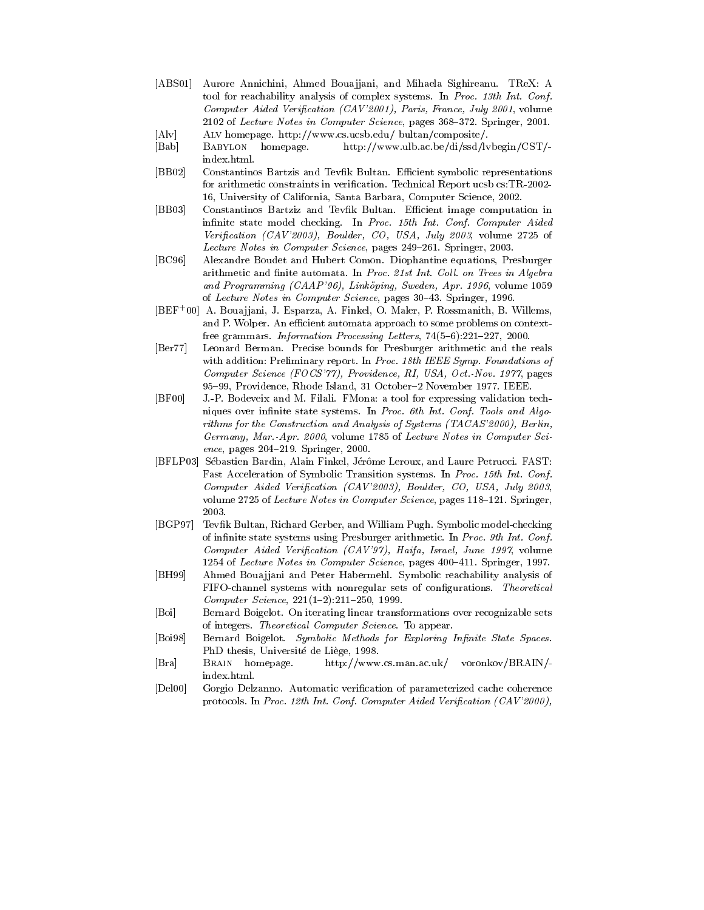- [ABS01] Aurore Annichini, Ahmed Bouajjani, and Mihaela Sighireanu. TReX: A tool for reachability analysis of complex systems. In Proc. 13th Int. Conf. Computer Aided Verification (CAV'2001), Paris, France, July 2001, volume 2102 of Lecture Notes in Computer Science, pages 368-372. Springer, 2001.
- [Alv] Alv homepage. http://www.cs.ucsb.edu/ bultan/composite/.
- [Bab] Babylon homepage. http://www.ulb.ac.be/di/ssd/lvbegin/CST/ index.html.
- [BB02] Constantinos Bartzis and Tevfik Bultan. Efficient symbolic representations for arithmetic constraints in verification. Technical Report ucsb cs:TR-2002-16, University of California, Santa Barbara, Computer Science, 2002.
- [BB03] Constantinos Bartziz and Tevfik Bultan. Efficient image computation in infinite state model checking. In Proc. 15th Int. Conf. Computer Aided Verification (CAV'2003), Boulder, CO, USA, July 2003, volume 2725 of Lecture Notes in Computer Science, pages 249-261. Springer, 2003.
- [BC96] Alexandre Boudet and Hubert Comon. Diophantine equations, Presburger arithmetic and finite automata. In Proc. 21st Int. Coll. on Trees in Algebra and Programming (CAAP'96), Linköping, Sweden, Apr. 1996, volume 1059 of Lecture Notes in Computer Science, pages 30-43. Springer, 1996.
- [BEF+ 00] A. Boua jjani, J. Esparza, A. Finkel, O. Maler, P. Rossmanith, B. Willems, and P. Wolper. An efficient automata approach to some problems on contextfree grammars. Information Processing Letters,  $74(5-6):221-227, 2000$ .
- [Ber77] Leonard Berman. Precise bounds for Presburger arithmetic and the reals with addition: Preliminary report. In Proc. 18th IEEE Symp. Foundations of Computer Science (FOCS'77), Providence, RI, USA, Oct.-Nov. 1977, pages 95-99, Providence, Rhode Island, 31 October-2 November 1977. IEEE.
- [BF00] J.-P. Bodeveix and M. Filali. FMona: a tool for expressing validation techniques over infinite state systems. In Proc. 6th Int. Conf. Tools and Algorithms for the Construction and Analysis of Systems (TACAS'2000), Berlin, Germany, Mar.-Apr. 2000, volume 1785 of Lecture Notes in Computer Sci  $ence, pages 204-219. Springer, 2000.$
- [BFLP03] Sébastien Bardin, Alain Finkel, Jérôme Leroux, and Laure Petrucci. FAST: Fast Acceleration of Symbolic Transition systems. In Proc. 15th Int. Conf. Computer Aided Verification (CAV'2003), Boulder, CO, USA, July 2003, volume 2725 of Lecture Notes in Computer Science, pages 118-121. Springer, 2003.
- [BGP97] Tevfik Bultan, Richard Gerber, and William Pugh. Symbolic model-checking of infinite state systems using Presburger arithmetic. In Proc. 9th Int. Conf. Computer Aided Verification (CAV'97), Haifa, Israel, June 1997, volume 1254 of Lecture Notes in Computer Science, pages 400-411. Springer, 1997.
- [BH99] Ahmed Boua jjani and Peter Habermehl. Symbolic reachability analysis of FIFO-channel systems with nonregular sets of configurations. Theoretical  $Computer\, Science, 221(1–2):211–250, 1999.$
- [Boi] Bernard Boigelot. On iterating linear transformations over recognizable sets of integers. Theoretical Computer Science. To appear.
- [Boi98] Bernard Boigelot. Symbolic Methods for Exploring Infinite State Spaces. PhD thesis, Universite de Liege, 1998.
- [Bra] Brain homepage. http://www.cs.man.ac.uk/ voronkov/BRAIN/ index.html.
- [Del00] Gorgio Delzanno. Automatic verication of parameterized cache coherence protocols. In Proc. 12th Int. Conf. Computer Aided Verification (CAV'2000),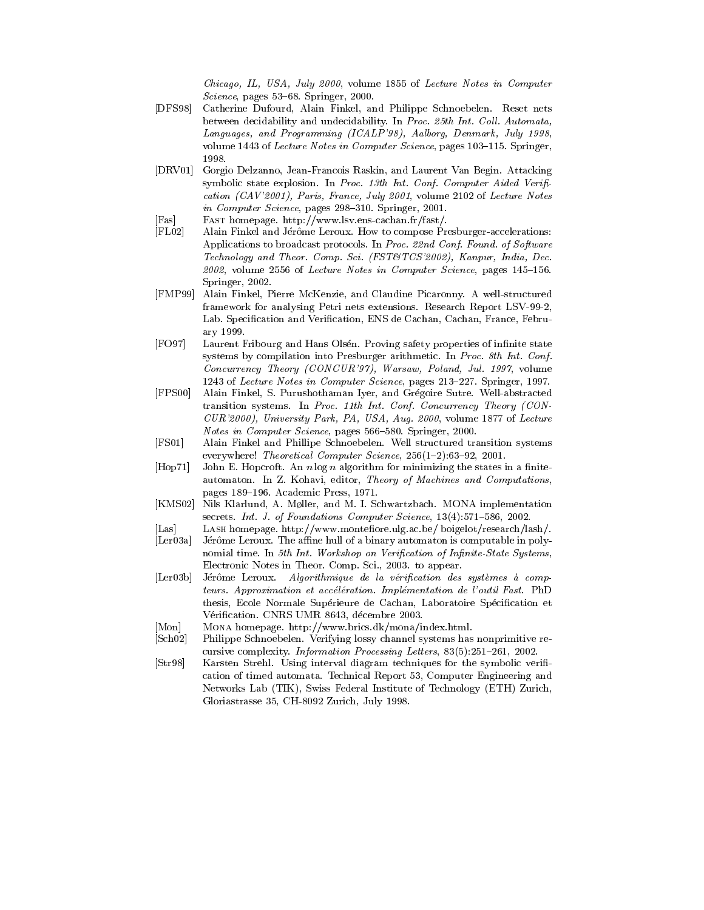Chicago, IL, USA, July 2000, volume 1855 of Lecture Notes in Computer  $Science$ , pages 53–68. Springer, 2000.

- [DFS98] Catherine Dufourd, Alain Finkel, and Philippe Schnoebelen. Reset nets between decidability and undecidability. In Proc. 25th Int. Coll. Automata, Languages, and Programming (ICALP'98), Aalborg, Denmark, July 1998, volume 1443 of *Lecture Notes in Computer Science*, pages  $103-115$ . Springer, 1998.
- [DRV01] Gorgio Delzanno, Jean-Francois Raskin, and Laurent Van Begin. Attacking symbolic state explosion. In Proc. 13th Int. Conf. Computer Aided Verification (CAV'2001), Paris, France, July 2001, volume 2102 of Lecture Notes  $in$  Computer Science, pages 298-310. Springer, 2001.
- [Fas] Fast homepage. http://www.lsv.ens-cachan.fr/fast/.
- [FL02] Alain Finkel and Jérôme Leroux. How to compose Presburger-accelerations: Applications to broadcast protocols. In Proc. 22nd Conf. Found. of Software Technology and Theor. Comp. Sci. (FST&TCS'2002), Kanpur, India, Dec.  $2002$ , volume 2556 of *Lecture Notes in Computer Science*, pages 145-156. Springer, 2002.
- [FMP99] Alain Finkel, Pierre McKenzie, and Claudine Picaronny. A well-structured framework for analysing Petri nets extensions. Research Report LSV-99-2, Lab. Specication and Verication, ENS de Cachan, Cachan, France, February 1999.
- [FO97] Laurent Fribourg and Hans Olsén. Proving safety properties of infinite state systems by compilation into Presburger arithmetic. In Proc. 8th Int. Conf. Concurrency Theory (CONCUR'97), Warsaw, Poland, Jul. 1997, volume 1243 of Lecture Notes in Computer Science, pages 213-227. Springer, 1997.
- [FPS00] Alain Finkel, S. Purushothaman Iyer, and Gregoire Sutre. Well-abstracted transition systems. In Proc. 11th Int. Conf. Concurrency Theory (CON-CUR'2000), University Park, PA, USA, Aug. 2000, volume 1877 of Lecture Notes in Computer Science, pages 566-580. Springer, 2000.
- [FS01] Alain Finkel and Phillipe Schnoebelen. Well structured transition systems everywhere! Theoretical Computer Science,  $256(1–2):63–92, 2001$ .
- $[Hop71]$  John E. Hopcroft. An n log n algorithm for minimizing the states in a finiteautomaton. In Z. Kohavi, editor, Theory of Machines and Computations, pages 189-196. Academic Press, 1971.
- [KMS02] Nils Klarlund, A. Møller, and M. I. Schwartzbach. MONA implementation secrets. Int. J. of Foundations Computer Science, 13(4):571-586, 2002.
- [Las] Lash homepage. http://www.montefiore.ulg.ac.be/ boigelot/research/lash/.
- [Ler03a] Jérôme Leroux. The affine hull of a binary automaton is computable in polynomial time. In 5th Int. Workshop on Verification of Infinite-State Systems, Electronic Notes in Theor. Comp. Sci., 2003. to appear.
- [Ler03b] Jérôme Leroux. Algorithmique de la vérification des systèmes à compteurs. Approximation et accélération. Implémentation de l'outil Fast. PhD thesis, Ecole Normale Superieure de Cachan, Laboratoire Specication et Verication. CNRS UMR 8643, decembre 2003.
- [Mon] Mona homepage. http://www.brics.dk/mona/index.html.
- [Sch02] Philippe Schnoebelen. Verifying lossy channel systems has nonprimitive re cursive complexity. Information Processing Letters, 83(5):251-261, 2002.
- [Str98] Karsten Strehl. Using interval diagram techniques for the symbolic veri cation of timed automata. Technical Report 53, Computer Engineering and Networks Lab (TIK), Swiss Federal Institute of Technology (ETH) Zurich, Gloriastrasse 35, CH-8092 Zurich, July 1998.